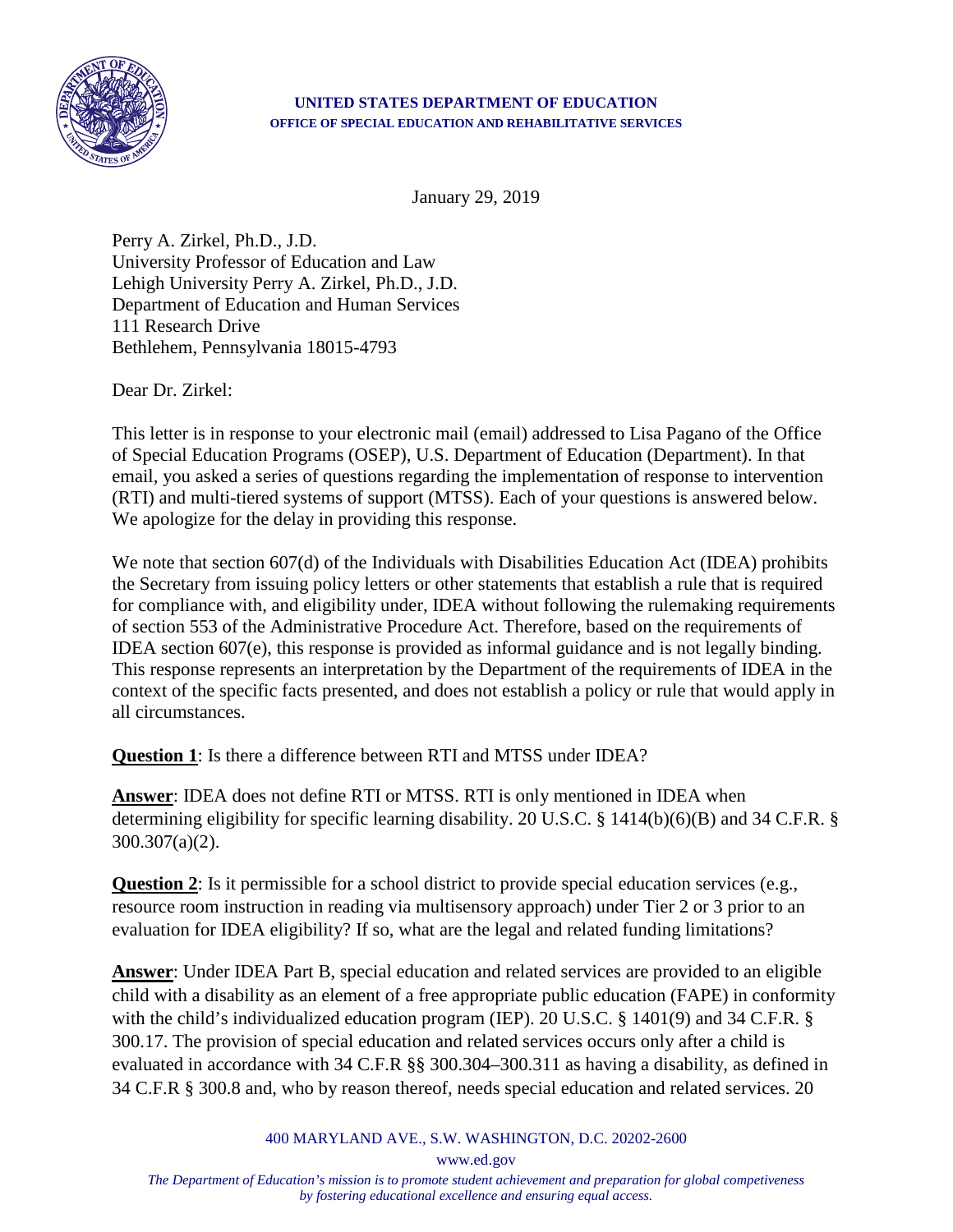

## **UNITED STATES DEPARTMENT OF EDUCATION OFFICE OF SPECIAL EDUCATION AND REHABILITATIVE SERVICES**

January 29, 2019

Perry A. Zirkel, Ph.D., J.D. University Professor of Education and Law Lehigh University Perry A. Zirkel, Ph.D., J.D. Department of Education and Human Services 111 Research Drive Bethlehem, Pennsylvania 18015-4793

Dear Dr. Zirkel:

This letter is in response to your electronic mail (email) addressed to Lisa Pagano of the Office of Special Education Programs (OSEP), U.S. Department of Education (Department). In that email, you asked a series of questions regarding the implementation of response to intervention (RTI) and multi-tiered systems of support (MTSS). Each of your questions is answered below. We apologize for the delay in providing this response.

We note that section 607(d) of the Individuals with Disabilities Education Act (IDEA) prohibits the Secretary from issuing policy letters or other statements that establish a rule that is required for compliance with, and eligibility under, IDEA without following the rulemaking requirements of section 553 of the Administrative Procedure Act. Therefore, based on the requirements of IDEA section 607(e), this response is provided as informal guidance and is not legally binding. This response represents an interpretation by the Department of the requirements of IDEA in the context of the specific facts presented, and does not establish a policy or rule that would apply in all circumstances.

**Question 1**: Is there a difference between RTI and MTSS under IDEA?

**Answer**: IDEA does not define RTI or MTSS. RTI is only mentioned in IDEA when determining eligibility for specific learning disability. 20 U.S.C. § 1414(b)(6)(B) and 34 C.F.R. § 300.307(a)(2).

**Question 2**: Is it permissible for a school district to provide special education services (e.g., resource room instruction in reading via multisensory approach) under Tier 2 or 3 prior to an evaluation for IDEA eligibility? If so, what are the legal and related funding limitations?

**Answer**: Under IDEA Part B, special education and related services are provided to an eligible child with a disability as an element of a free appropriate public education (FAPE) in conformity with the child's individualized education program (IEP). 20 U.S.C. § 1401(9) and 34 C.F.R. § 300.17. The provision of special education and related services occurs only after a child is evaluated in accordance with 34 C.F.R §§ 300.304–300.311 as having a disability, as defined in 34 C.F.R § 300.8 and, who by reason thereof, needs special education and related services. 20

400 MARYLAND AVE., S.W. WASHINGTON, D.C. 20202-2600

www.ed.gov

*The Department of Education's mission is to promote student achievement and preparation for global competiveness by fostering educational excellence and ensuring equal access.*